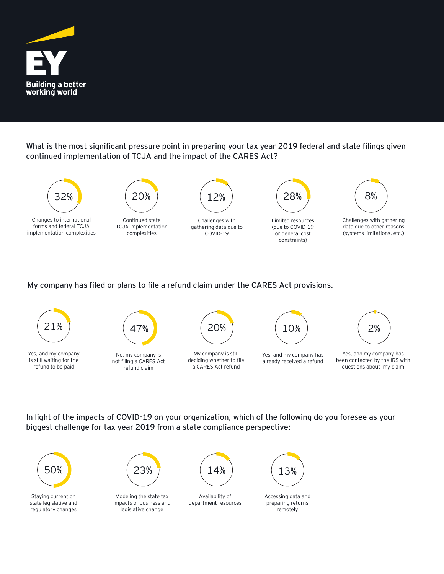

What is the most significant pressure point in preparing your tax year 2019 federal and state filings given continued implementation of TCJA and the impact of the CARES Act?



## My company has filed or plans to file a refund claim under the CARES Act provisions.



In light of the impacts of COVID-19 on your organization, which of the following do you foresee as your biggest challenge for tax year 2019 from a state compliance perspective: